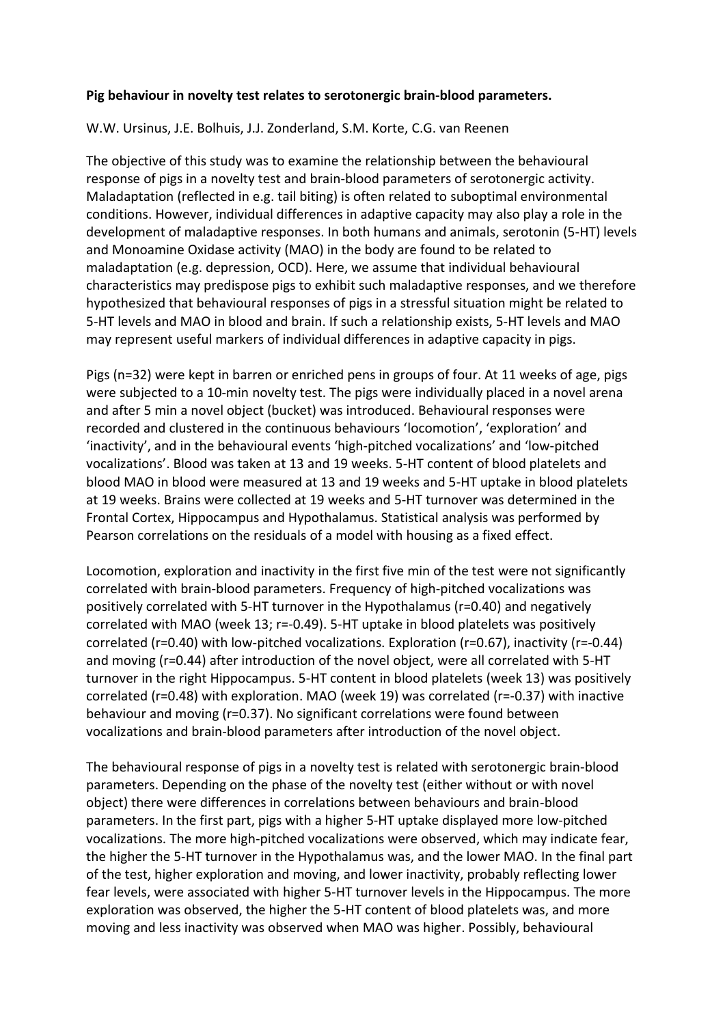## **Pig behaviour in novelty test relates to serotonergic brain-blood parameters.**

## W.W. Ursinus, J.E. Bolhuis, J.J. Zonderland, S.M. Korte, C.G. van Reenen

The objective of this study was to examine the relationship between the behavioural response of pigs in a novelty test and brain-blood parameters of serotonergic activity. Maladaptation (reflected in e.g. tail biting) is often related to suboptimal environmental conditions. However, individual differences in adaptive capacity may also play a role in the development of maladaptive responses. In both humans and animals, serotonin (5-HT) levels and Monoamine Oxidase activity (MAO) in the body are found to be related to maladaptation (e.g. depression, OCD). Here, we assume that individual behavioural characteristics may predispose pigs to exhibit such maladaptive responses, and we therefore hypothesized that behavioural responses of pigs in a stressful situation might be related to 5-HT levels and MAO in blood and brain. If such a relationship exists, 5-HT levels and MAO may represent useful markers of individual differences in adaptive capacity in pigs.

Pigs (n=32) were kept in barren or enriched pens in groups of four. At 11 weeks of age, pigs were subjected to a 10-min novelty test. The pigs were individually placed in a novel arena and after 5 min a novel object (bucket) was introduced. Behavioural responses were recorded and clustered in the continuous behaviours 'locomotion', 'exploration' and 'inactivity', and in the behavioural events 'high-pitched vocalizations' and 'low-pitched vocalizations'. Blood was taken at 13 and 19 weeks. 5-HT content of blood platelets and blood MAO in blood were measured at 13 and 19 weeks and 5-HT uptake in blood platelets at 19 weeks. Brains were collected at 19 weeks and 5-HT turnover was determined in the Frontal Cortex, Hippocampus and Hypothalamus. Statistical analysis was performed by Pearson correlations on the residuals of a model with housing as a fixed effect.

Locomotion, exploration and inactivity in the first five min of the test were not significantly correlated with brain-blood parameters. Frequency of high-pitched vocalizations was positively correlated with 5-HT turnover in the Hypothalamus (r=0.40) and negatively correlated with MAO (week 13; r=-0.49). 5-HT uptake in blood platelets was positively correlated (r=0.40) with low-pitched vocalizations. Exploration (r=0.67), inactivity (r=-0.44) and moving (r=0.44) after introduction of the novel object, were all correlated with 5-HT turnover in the right Hippocampus. 5-HT content in blood platelets (week 13) was positively correlated (r=0.48) with exploration. MAO (week 19) was correlated (r=-0.37) with inactive behaviour and moving (r=0.37). No significant correlations were found between vocalizations and brain-blood parameters after introduction of the novel object.

The behavioural response of pigs in a novelty test is related with serotonergic brain-blood parameters. Depending on the phase of the novelty test (either without or with novel object) there were differences in correlations between behaviours and brain-blood parameters. In the first part, pigs with a higher 5-HT uptake displayed more low-pitched vocalizations. The more high-pitched vocalizations were observed, which may indicate fear, the higher the 5-HT turnover in the Hypothalamus was, and the lower MAO. In the final part of the test, higher exploration and moving, and lower inactivity, probably reflecting lower fear levels, were associated with higher 5-HT turnover levels in the Hippocampus. The more exploration was observed, the higher the 5-HT content of blood platelets was, and more moving and less inactivity was observed when MAO was higher. Possibly, behavioural